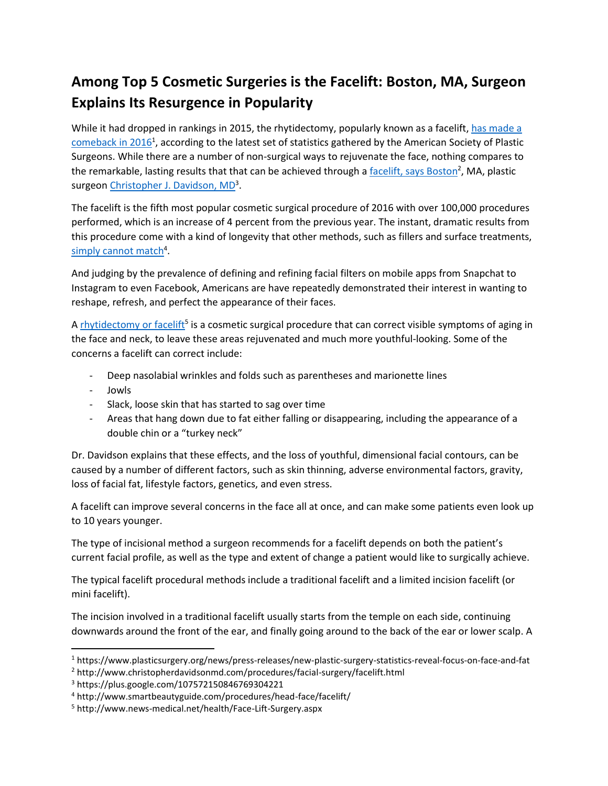## **Among Top 5 Cosmetic Surgeries is the Facelift: Boston, MA, Surgeon Explains Its Resurgence in Popularity**

While it had dropped in rankings in 2015, the rhytidectomy, popularly known as a facelift, has made a [comeback](https://www.plasticsurgery.org/news/press-releases/new-plastic-surgery-statistics-reveal-focus-on-face-and-fat) in 2016<sup>1</sup>, according to the latest set of statistics gathered by the American Society of Plastic Surgeons. While there are a number of non-surgical ways to rejuvenate the face, nothing compares to the remarkable, lasting results that that can be achieved through a [facelift, says Boston](https://www.christopherdavidsonmd.com/surgical-procedures/face/facelift-surgery/)<sup>2</sup>, MA, plastic surgeo[n Christopher J. Davidson, MD](https://plus.google.com/107572150846769304221)<sup>3</sup>.

The facelift is the fifth most popular cosmetic surgical procedure of 2016 with over 100,000 procedures performed, which is an increase of 4 percent from the previous year. The instant, dramatic results from this procedure come with a kind of longevity that other methods, such as fillers and surface treatments, [simply cannot match](https://www.smartbeautyguide.com/procedures/head-face/facelift/)<sup>4</sup>.

And judging by the prevalence of defining and refining facial filters on mobile apps from Snapchat to Instagram to even Facebook, Americans are have repeatedly demonstrated their interest in wanting to reshape, refresh, and perfect the appearance of their faces.

A **rhytidectomy or facelift<sup>5</sup> is a cosmetic surgical procedure that can correct visible symptoms of aging in** the face and neck, to leave these areas rejuvenated and much more youthful-looking. Some of the concerns a facelift can correct include:

- Deep nasolabial wrinkles and folds such as parentheses and marionette lines
- Jowls

 $\overline{\phantom{a}}$ 

- Slack, loose skin that has started to sag over time
- Areas that hang down due to fat either falling or disappearing, including the appearance of a double chin or a "turkey neck"

Dr. Davidson explains that these effects, and the loss of youthful, dimensional facial contours, can be caused by a number of different factors, such as skin thinning, adverse environmental factors, gravity, loss of facial fat, lifestyle factors, genetics, and even stress.

A facelift can improve several concerns in the face all at once, and can make some patients even look up to 10 years younger.

The type of incisional method a surgeon recommends for a facelift depends on both the patient's current facial profile, as well as the type and extent of change a patient would like to surgically achieve.

The typical facelift procedural methods include a traditional facelift and a limited incision facelift (or mini facelift).

The incision involved in a traditional facelift usually starts from the temple on each side, continuing downwards around the front of the ear, and finally going around to the back of the ear or lower scalp. A

<sup>1</sup> https://www.plasticsurgery.org/news/press-releases/new-plastic-surgery-statistics-reveal-focus-on-face-and-fat

<sup>2</sup> http://www.christopherdavidsonmd.com/procedures/facial-surgery/facelift.html

<sup>3</sup> https://plus.google.com/107572150846769304221

<sup>4</sup> http://www.smartbeautyguide.com/procedures/head-face/facelift/

<sup>5</sup> http://www.news-medical.net/health/Face-Lift-Surgery.aspx